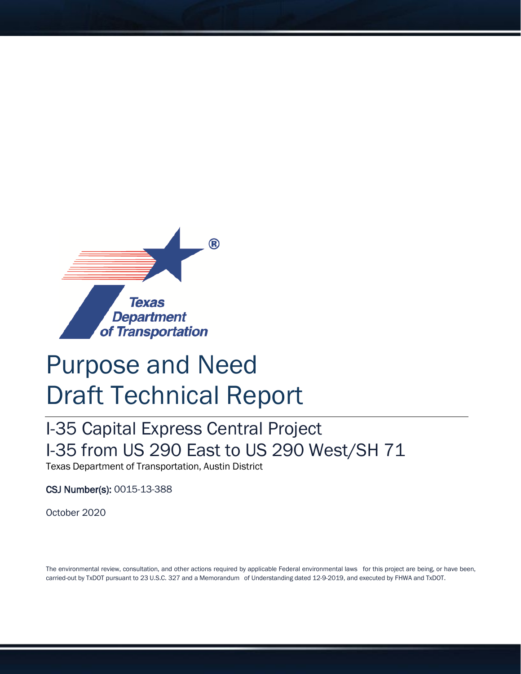

# Purpose and Need Draft Technical Report

# I-35 Capital Express Central Project I-35 from US 290 East to US 290 West/SH 71

Texas Department of Transportation, Austin District

CSJ Number(s): 0015-13-388

October 2020

The environmental review, consultation, and other actions required by applicable Federal environmental laws for this project are being, or have been, carried-out by TxDOT pursuant to 23 U.S.C. 327 and a Memorandum of Understanding dated 12-9-2019, and executed by FHWA and TxDOT.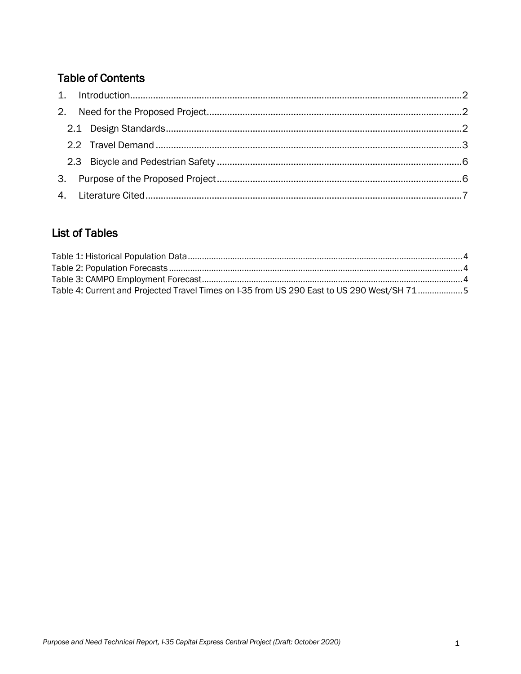# **Table of Contents**

# **List of Tables**

| Table 4: Current and Projected Travel Times on I-35 from US 290 East to US 290 West/SH 715 |  |
|--------------------------------------------------------------------------------------------|--|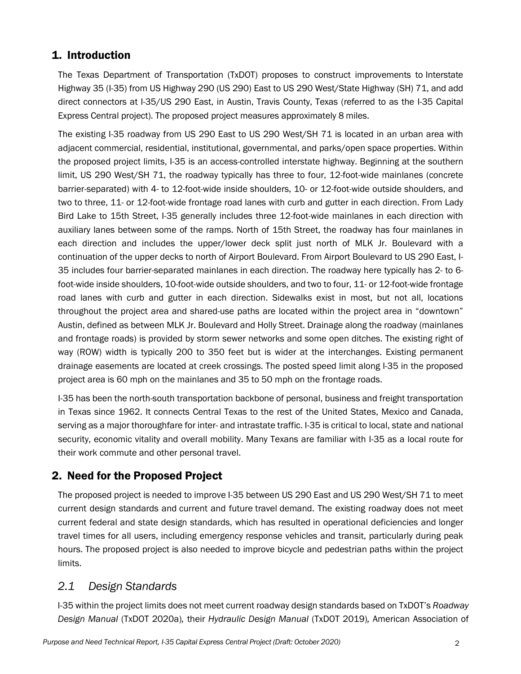# <span id="page-2-0"></span>1. Introduction

The Texas Department of Transportation (TxDOT) proposes to construct improvements to Interstate Highway 35 (I-35) from US Highway 290 (US 290) East to US 290 West/State Highway (SH) 71, and add direct connectors at I-35/US 290 East, in Austin, Travis County, Texas (referred to as the I-35 Capital Express Central project). The proposed project measures approximately 8 miles.

The existing I-35 roadway from US 290 East to US 290 West/SH 71 is located in an urban area with adjacent commercial, residential, institutional, governmental, and parks/open space properties. Within the proposed project limits, I-35 is an access-controlled interstate highway. Beginning at the southern limit, US 290 West/SH 71, the roadway typically has three to four, 12-foot-wide mainlanes (concrete barrier-separated) with 4- to 12-foot-wide inside shoulders, 10- or 12-foot-wide outside shoulders, and two to three, 11- or 12-foot-wide frontage road lanes with curb and gutter in each direction. From Lady Bird Lake to 15th Street, I-35 generally includes three 12-foot-wide mainlanes in each direction with auxiliary lanes between some of the ramps. North of 15th Street, the roadway has four mainlanes in each direction and includes the upper/lower deck split just north of MLK Jr. Boulevard with a continuation of the upper decks to north of Airport Boulevard. From Airport Boulevard to US 290 East, I-35 includes four barrier-separated mainlanes in each direction. The roadway here typically has 2- to 6 foot-wide inside shoulders, 10-foot-wide outside shoulders, and two to four, 11- or 12-foot-wide frontage road lanes with curb and gutter in each direction. Sidewalks exist in most, but not all, locations throughout the project area and shared-use paths are located within the project area in "downtown" Austin, defined as between MLK Jr. Boulevard and Holly Street. Drainage along the roadway (mainlanes and frontage roads) is provided by storm sewer networks and some open ditches. The existing right of way (ROW) width is typically 200 to 350 feet but is wider at the interchanges. Existing permanent drainage easements are located at creek crossings. The posted speed limit along I-35 in the proposed project area is 60 mph on the mainlanes and 35 to 50 mph on the frontage roads.

I-35 has been the north-south transportation backbone of personal, business and freight transportation in Texas since 1962. It connects Central Texas to the rest of the United States, Mexico and Canada, serving as a major thoroughfare for inter- and intrastate traffic. I-35 is critical to local, state and national security, economic vitality and overall mobility. Many Texans are familiar with I-35 as a local route for their work commute and other personal travel.

# <span id="page-2-1"></span>2. Need for the Proposed Project

The proposed project is needed to improve I-35 between US 290 East and US 290 West/SH 71 to meet current design standards and current and future travel demand. The existing roadway does not meet current federal and state design standards, which has resulted in operational deficiencies and longer travel times for all users, including emergency response vehicles and transit, particularly during peak hours. The proposed project is also needed to improve bicycle and pedestrian paths within the project limits.

# <span id="page-2-2"></span>*2.1 Design Standards*

I-35 within the project limits does not meet current roadway design standards based on TxDOT's *Roadway Design Manual* (TxDOT 2020a)*,* their *Hydraulic Design Manual* (TxDOT 2019)*,* American Association of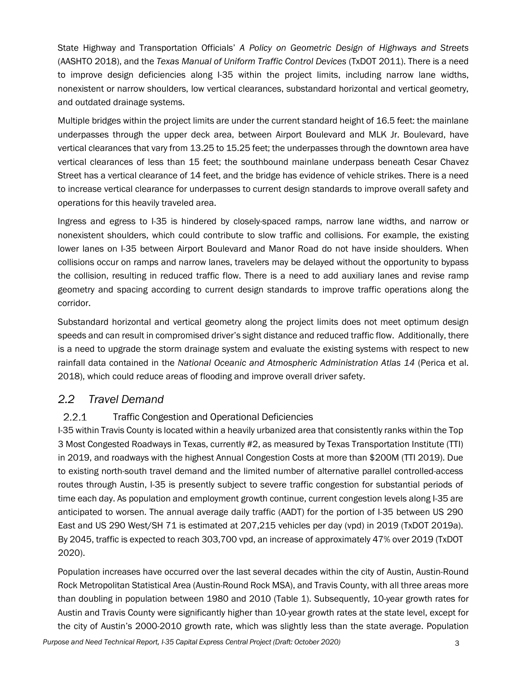State Highway and Transportation Officials' *A Policy on Geometric Design of Highways and Streets* (AASHTO 2018), and the *Texas Manual of Uniform Traffic Control Devices* (TxDOT 2011). There is a need to improve design deficiencies along I-35 within the project limits, including narrow lane widths, nonexistent or narrow shoulders, low vertical clearances, substandard horizontal and vertical geometry, and outdated drainage systems.

Multiple bridges within the project limits are under the current standard height of 16.5 feet: the mainlane underpasses through the upper deck area, between Airport Boulevard and MLK Jr. Boulevard, have vertical clearances that vary from 13.25 to 15.25 feet; the underpasses through the downtown area have vertical clearances of less than 15 feet; the southbound mainlane underpass beneath Cesar Chavez Street has a vertical clearance of 14 feet, and the bridge has evidence of vehicle strikes. There is a need to increase vertical clearance for underpasses to current design standards to improve overall safety and operations for this heavily traveled area.

Ingress and egress to I-35 is hindered by closely-spaced ramps, narrow lane widths, and narrow or nonexistent shoulders, which could contribute to slow traffic and collisions. For example, the existing lower lanes on I-35 between Airport Boulevard and Manor Road do not have inside shoulders. When collisions occur on ramps and narrow lanes, travelers may be delayed without the opportunity to bypass the collision, resulting in reduced traffic flow. There is a need to add auxiliary lanes and revise ramp geometry and spacing according to current design standards to improve traffic operations along the corridor.

Substandard horizontal and vertical geometry along the project limits does not meet optimum design speeds and can result in compromised driver's sight distance and reduced traffic flow. Additionally, there is a need to upgrade the storm drainage system and evaluate the existing systems with respect to new rainfall data contained in the *National Oceanic and Atmospheric Administration Atlas 14* (Perica et al. 2018), which could reduce areas of flooding and improve overall driver safety.

#### <span id="page-3-0"></span>*2.2 Travel Demand*

#### $2.2.1$ Traffic Congestion and Operational Deficiencies

I-35 within Travis County is located within a heavily urbanized area that consistently ranks within the Top 3 Most Congested Roadways in Texas, currently #2, as measured by Texas Transportation Institute (TTI) in 2019, and roadways with the highest Annual Congestion Costs at more than \$200M (TTI 2019). Due to existing north-south travel demand and the limited number of alternative parallel controlled-access routes through Austin, I-35 is presently subject to severe traffic congestion for substantial periods of time each day. As population and employment growth continue, current congestion levels along I-35 are anticipated to worsen. The annual average daily traffic (AADT) for the portion of I-35 between US 290 East and US 290 West/SH 71 is estimated at 207,215 vehicles per day (vpd) in 2019 (TxDOT 2019a). By 2045, traffic is expected to reach 303,700 vpd, an increase of approximately 47% over 2019 (TxDOT 2020).

Population increases have occurred over the last several decades within the city of Austin, Austin-Round Rock Metropolitan Statistical Area (Austin-Round Rock MSA), and Travis County, with all three areas more than doubling in population between 1980 and 2010 (Table 1). Subsequently, 10-year growth rates for Austin and Travis County were significantly higher than 10-year growth rates at the state level, except for the city of Austin's 2000-2010 growth rate, which was slightly less than the state average. Population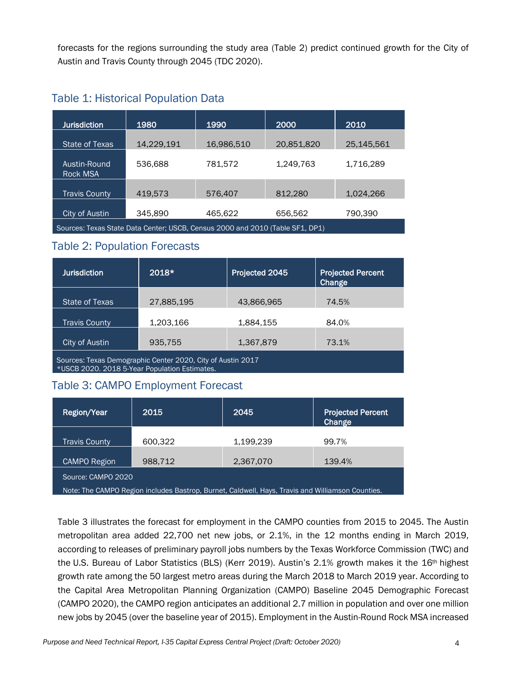forecasts for the regions surrounding the study area (Table 2) predict continued growth for the City of Austin and Travis County through 2045 (TDC 2020).

<span id="page-4-0"></span>

| <b>Jurisdiction</b>                                                           | 1980<br>1990 |            | 2000       | 2010       |  |  |
|-------------------------------------------------------------------------------|--------------|------------|------------|------------|--|--|
|                                                                               |              |            |            |            |  |  |
| State of Texas                                                                | 14,229,191   | 16,986,510 | 20,851,820 | 25,145,561 |  |  |
|                                                                               |              |            |            |            |  |  |
| Austin-Round                                                                  | 536,688      | 781,572    | 1,249,763  | 1,716,289  |  |  |
| <b>Rock MSA</b>                                                               |              |            |            |            |  |  |
|                                                                               |              |            |            |            |  |  |
| <b>Travis County</b>                                                          | 419,573      | 576.407    | 812,280    | 1,024,266  |  |  |
|                                                                               |              |            |            |            |  |  |
| <b>City of Austin</b>                                                         | 345,890      | 465,622    | 656,562    | 790,390    |  |  |
| Sources: Texas State Data Center; USCB, Census 2000 and 2010 (Table SF1, DP1) |              |            |            |            |  |  |
|                                                                               |              |            |            |            |  |  |

### <span id="page-4-1"></span>Table 2: Population Forecasts

| <b>Jurisdiction</b>                                                                                           | $2018*$    | Projected 2045 | <b>Projected Percent</b><br>Change |  |  |
|---------------------------------------------------------------------------------------------------------------|------------|----------------|------------------------------------|--|--|
| State of Texas                                                                                                | 27,885,195 | 43,866,965     | 74.5%                              |  |  |
| <b>Travis County</b>                                                                                          | 1,203,166  | 1,884,155      | 84.0%                              |  |  |
| City of Austin                                                                                                | 935,755    | 1,367,879      | 73.1%                              |  |  |
| Sources: Texas Demographic Center 2020, City of Austin 2017<br>* USCB 2020. 2018 5-Year Population Estimates. |            |                |                                    |  |  |

# <span id="page-4-2"></span>Table 3: CAMPO Employment Forecast

| <b>Region/Year</b>                                                                               | 2015    | 2045      | <b>Projected Percent</b><br>Change |  |  |
|--------------------------------------------------------------------------------------------------|---------|-----------|------------------------------------|--|--|
| <b>Travis County</b>                                                                             | 600,322 | 1,199,239 | 99.7%                              |  |  |
| <b>CAMPO Region</b>                                                                              | 988,712 | 2,367,070 | 139.4%                             |  |  |
| Source: CAMPO 2020                                                                               |         |           |                                    |  |  |
| Note: The CAMPO Region includes Bastrop, Burnet, Caldwell, Hays, Travis and Williamson Counties. |         |           |                                    |  |  |

Table 3 illustrates the forecast for employment in the CAMPO counties from 2015 to 2045. The Austin metropolitan area added 22,700 net new jobs, or 2.1%, in the 12 months ending in March 2019, according to releases of preliminary payroll jobs numbers by the [Texas Workforce Commission \(TWC\)](https://texaslmi.com/) and the [U.S. Bureau of Labor Statistics \(BLS\)](http://www.bls.gov/sae/) (Kerr 2019). Austin's 2.1% growth makes it the 16<sup>th</sup> highest growth rate among the 50 largest metro areas during the March 2018 to March 2019 year. According to the Capital Area Metropolitan Planning Organization (CAMPO) Baseline 2045 Demographic Forecast (CAMPO 2020), the CAMPO region anticipates an additional 2.7 million in population and over one million new jobs by 2045 (over the baseline year of 2015). Employment in the Austin-Round Rock MSA increased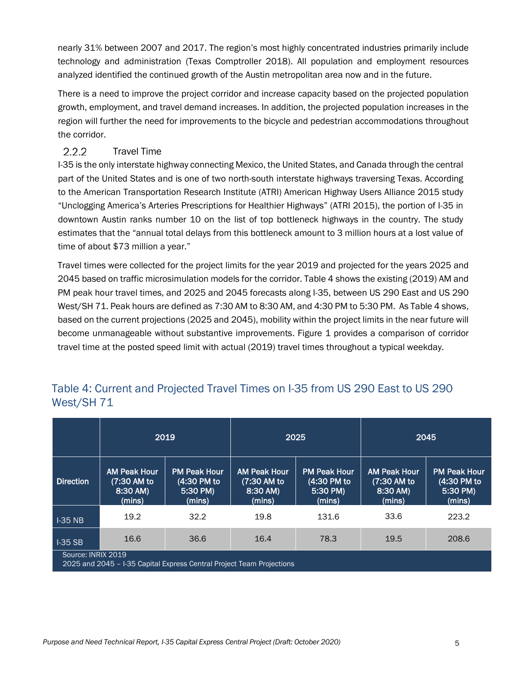nearly 31% between 2007 and 2017. The region's most highly concentrated industries primarily include technology and administration (Texas Comptroller 2018). All population and employment resources analyzed identified the continued growth of the Austin metropolitan area now and in the future.

There is a need to improve the project corridor and increase capacity based on the projected population growth, employment, and travel demand increases. In addition, the projected population increases in the region will further the need for improvements to the bicycle and pedestrian accommodations throughout the corridor.

#### $2.2.2$ Travel Time

I-35 is the only interstate highway connecting Mexico, the United States, and Canada through the central part of the United States and is one of two north-south interstate highways traversing Texas. According to the American Transportation Research Institute (ATRI) American Highway Users Alliance 2015 study "Unclogging America's Arteries Prescriptions for Healthier Highways" (ATRI 2015), the portion of I-35 in downtown Austin ranks number 10 on the list of top bottleneck highways in the country. The study estimates that the "annual total delays from this bottleneck amount to 3 million hours at a lost value of time of about \$73 million a year."

Travel times were collected for the project limits for the year 2019 and projected for the years 2025 and 2045 based on traffic microsimulation models for the corridor. Table 4 shows the existing (2019) AM and PM peak hour travel times, and 2025 and 2045 forecasts along I-35, between US 290 East and US 290 West/SH 71. Peak hours are defined as 7:30 AM to 8:30 AM, and 4:30 PM to 5:30 PM. As Table 4 shows, based on the current projections (2025 and 2045), mobility within the project limits in the near future will become unmanageable without substantive improvements. Figure 1 provides a comparison of corridor travel time at the posted speed limit with actual (2019) travel times throughout a typical weekday.

# <span id="page-5-0"></span>Table 4: Current and Projected Travel Times on I-35 from US 290 East to US 290 West/SH 71

|                                                                                             | 2019                                                       |                                                   | 2025                                                     |                                                          | 2045                                                     |                                                          |
|---------------------------------------------------------------------------------------------|------------------------------------------------------------|---------------------------------------------------|----------------------------------------------------------|----------------------------------------------------------|----------------------------------------------------------|----------------------------------------------------------|
| <b>Direction</b>                                                                            | <b>AM Peak Hour</b><br>$(7:30$ AM to<br>8:30 AM)<br>(mins) | PM Peak Hour<br>(4:30 PM to<br>5:30 PM)<br>(mins) | <b>AM Peak Hour</b><br>(7:30 AM to<br>8:30 AM)<br>(mins) | <b>PM Peak Hour</b><br>(4:30 PM to<br>5:30 PM)<br>(mins) | <b>AM Peak Hour</b><br>(7:30 AM to<br>8:30 AM)<br>(mins) | <b>PM Peak Hour</b><br>(4:30 PM to<br>5:30 PM)<br>(mins) |
| $I-35$ NB                                                                                   | 19.2                                                       | 32.2                                              | 19.8                                                     | 131.6                                                    | 33.6                                                     | 223.2                                                    |
| $I-35$ SB                                                                                   | 16.6                                                       | 36.6                                              | 16.4                                                     | 78.3                                                     | 19.5                                                     | 208.6                                                    |
| Source: INRIX 2019<br>2025 and 2045 - I-35 Capital Express Central Project Team Projections |                                                            |                                                   |                                                          |                                                          |                                                          |                                                          |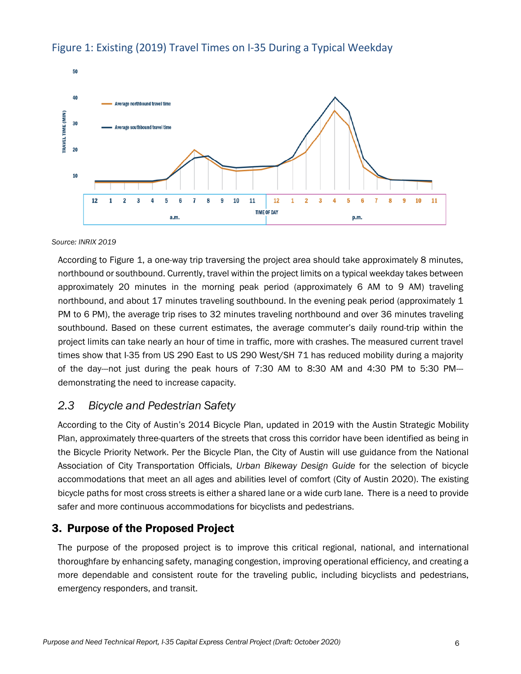

### Figure 1: Existing (2019) Travel Times on I-35 During a Typical Weekday

#### *Source: INRIX 2019*

According to Figure 1, a one-way trip traversing the project area should take approximately 8 minutes, northbound or southbound. Currently, travel within the project limits on a typical weekday takes between approximately 20 minutes in the morning peak period (approximately 6 AM to 9 AM) traveling northbound, and about 17 minutes traveling southbound. In the evening peak period (approximately 1 PM to 6 PM), the average trip rises to 32 minutes traveling northbound and over 36 minutes traveling southbound. Based on these current estimates, the average commuter's daily round-trip within the project limits can take nearly an hour of time in traffic, more with crashes. The measured current travel times show that I-35 from US 290 East to US 290 West/SH 71 has reduced mobility during a majority of the day---not just during the peak hours of 7:30 AM to 8:30 AM and 4:30 PM to 5:30 PM-- demonstrating the need to increase capacity.

#### <span id="page-6-0"></span>*2.3 Bicycle and Pedestrian Safety*

According to the City of Austin's 2014 Bicycle Plan, updated in 2019 with the Austin Strategic Mobility Plan, approximately three-quarters of the streets that cross this corridor have been identified as being in the Bicycle Priority Network. Per the Bicycle Plan, the City of Austin will use guidance from the National Association of City Transportation Officials, *Urban Bikeway Design Guide* for the selection of bicycle accommodations that meet an all ages and abilities level of comfort (City of Austin 2020). The existing bicycle paths for most cross streets is either a shared lane or a wide curb lane. There is a need to provide safer and more continuous accommodations for bicyclists and pedestrians.

#### <span id="page-6-1"></span>3. Purpose of the Proposed Project

The purpose of the proposed project is to improve this critical regional, national, and international thoroughfare by enhancing safety, managing congestion, improving operational efficiency, and creating a more dependable and consistent route for the traveling public, including bicyclists and pedestrians, emergency responders, and transit.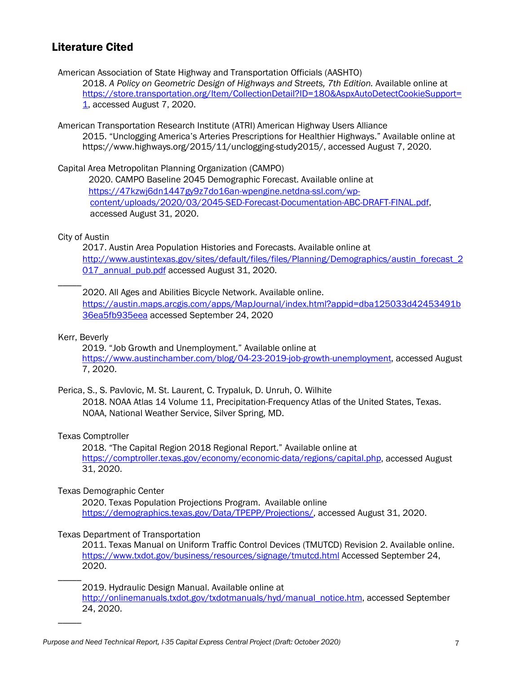### <span id="page-7-0"></span>Literature Cited

American Association of State Highway and Transportation Officials (AASHTO) 2018. *A Policy on Geometric Design of Highways and Streets, 7th Edition.* Available online at [https://store.transportation.org/Item/CollectionDetail?ID=180&AspxAutoDetectCookieSupport=](https://store.transportation.org/Item/CollectionDetail?ID=180&AspxAutoDetectCookieSupport=1) [1,](https://store.transportation.org/Item/CollectionDetail?ID=180&AspxAutoDetectCookieSupport=1) accessed August 7, 2020.

American Transportation Research Institute (ATRI) American Highway Users Alliance 2015. "Unclogging America's Arteries Prescriptions for Healthier Highways." Available online at [https://www.highways.org/2015/11/unclogging-study2015/,](https://www.highways.org/2015/11/unclogging-study2015/) accessed August 7, 2020.

Capital Area Metropolitan Planning Organization (CAMPO)

2020. CAMPO Baseline 2045 Demographic Forecast. Available online at [https://47kzwj6dn1447gy9z7do16an-wpengine.netdna-ssl.com/wp](https://47kzwj6dn1447gy9z7do16an-wpengine.netdna-ssl.com/wp-content/uploads/2020/03/2045-SED-Forecast-Documentation-ABC-DRAFT-FINAL.pdf)[content/uploads/2020/03/2045-SED-Forecast-Documentation-ABC-DRAFT-FINAL.pdf,](https://47kzwj6dn1447gy9z7do16an-wpengine.netdna-ssl.com/wp-content/uploads/2020/03/2045-SED-Forecast-Documentation-ABC-DRAFT-FINAL.pdf) accessed August 31, 2020.

#### City of Austin

\_\_\_\_\_

2017. Austin Area Population Histories and Forecasts. Available online at [http://www.austintexas.gov/sites/default/files/files/Planning/Demographics/austin\\_forecast\\_2](http://www.austintexas.gov/sites/default/files/files/Planning/Demographics/austin_forecast_2017_annual_pub.pdf) 017 annual pub.pdf accessed August 31, 2020.

2020. All Ages and Abilities Bicycle Network. Available online. [https://austin.maps.arcgis.com/apps/MapJournal/index.html?appid=dba125033d42453491b](https://austin.maps.arcgis.com/apps/MapJournal/index.html?appid=dba125033d42453491b36ea5fb935eea) [36ea5fb935eea](https://austin.maps.arcgis.com/apps/MapJournal/index.html?appid=dba125033d42453491b36ea5fb935eea) accessed September 24, 2020

#### Kerr, Beverly

2019. "Job Growth and Unemployment." Available online at [https://www.austinchamber.com/blog/04-23-2019-job-growth-unemployment,](https://www.austinchamber.com/blog/04-23-2019-job-growth-unemployment) accessed August 7, 2020.

Perica, S., S. Pavlovic, M. St. Laurent, C. Trypaluk, D. Unruh, O. Wilhite 2018. NOAA Atlas 14 Volume 11, Precipitation-Frequency Atlas of the United States, Texas. NOAA, National Weather Service, Silver Spring, MD.

#### Texas Comptroller

\_\_\_\_\_

2018. "The Capital Region 2018 Regional Report." Available online at [https://comptroller.texas.gov/economy/economic-data/regions/capital.php,](https://comptroller.texas.gov/economy/economic-data/regions/capital.php) accessed August 31, 2020.

#### Texas Demographic Center

2020. Texas Population Projections Program. Available online [https://demographics.texas.gov/Data/TPEPP/Projections/,](https://demographics.texas.gov/Data/TPEPP/Projections/) accessed August 31, 2020.

#### Texas Department of Transportation

2011. Texas Manual on Uniform Traffic Control Devices (TMUTCD) Revision 2. Available online. <https://www.txdot.gov/business/resources/signage/tmutcd.html> Accessed September 24, 2020.

\_\_\_\_\_ 2019. Hydraulic Design Manual. Available online at [http://onlinemanuals.txdot.gov/txdotmanuals/hyd/manual\\_notice.htm,](http://onlinemanuals.txdot.gov/txdotmanuals/hyd/manual_notice.htm) accessed September 24, 2020.